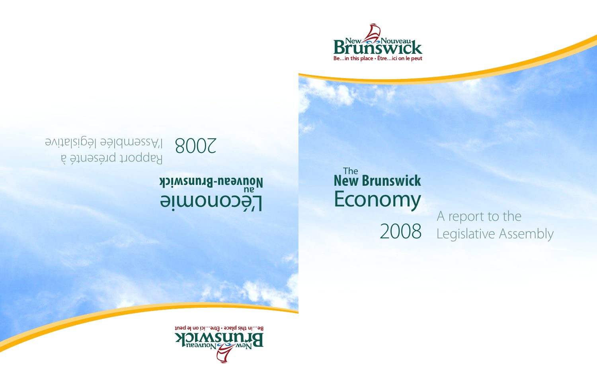

# **New Brunswick** Economy<br>A report to the The 2008

Legislative Assembly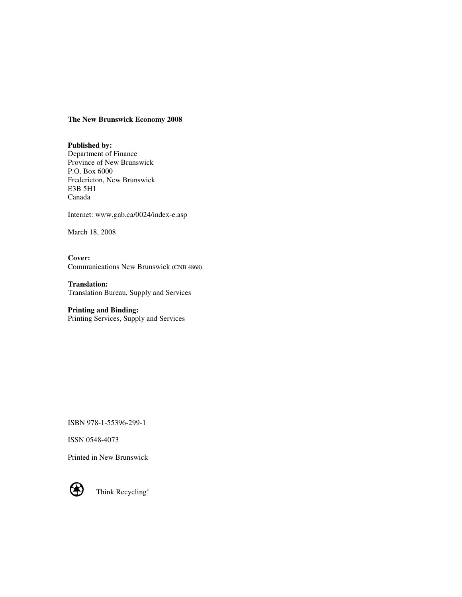#### **The New Brunswick Economy 2008**

**Published by:**  Department of Finance Province of New Brunswick P.O. Box 6000 Fredericton, New Brunswick E3B 5H1 Canada

Internet: www.gnb.ca/0024/index-e.asp

March 18, 2008

**Cover:** Communications New Brunswick (CNB 4868)

**Translation:** Translation Bureau, Supply and Services

**Printing and Binding:** Printing Services, Supply and Services

ISBN 978-1-55396-299-1

ISSN 0548-4073

Printed in New Brunswick



Think Recycling!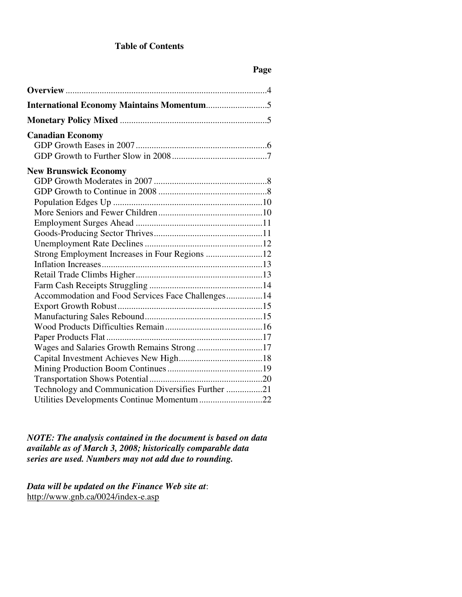## **Table of Contents**

# **Page**

| <b>Canadian Economy</b>                             |  |
|-----------------------------------------------------|--|
|                                                     |  |
|                                                     |  |
| <b>New Brunswick Economy</b>                        |  |
|                                                     |  |
|                                                     |  |
|                                                     |  |
|                                                     |  |
|                                                     |  |
|                                                     |  |
|                                                     |  |
| Strong Employment Increases in Four Regions 12      |  |
|                                                     |  |
|                                                     |  |
|                                                     |  |
| Accommodation and Food Services Face Challenges14   |  |
|                                                     |  |
|                                                     |  |
|                                                     |  |
|                                                     |  |
| Wages and Salaries Growth Remains Strong 17         |  |
|                                                     |  |
|                                                     |  |
|                                                     |  |
| Technology and Communication Diversifies Further 21 |  |
| Utilities Developments Continue Momentum 22         |  |

*NOTE: The analysis contained in the document is based on data available as of March 3, 2008; historically comparable data series are used. Numbers may not add due to rounding.*

*Data will be updated on the Finance Web site at*: http://www.gnb.ca/0024/index-e.asp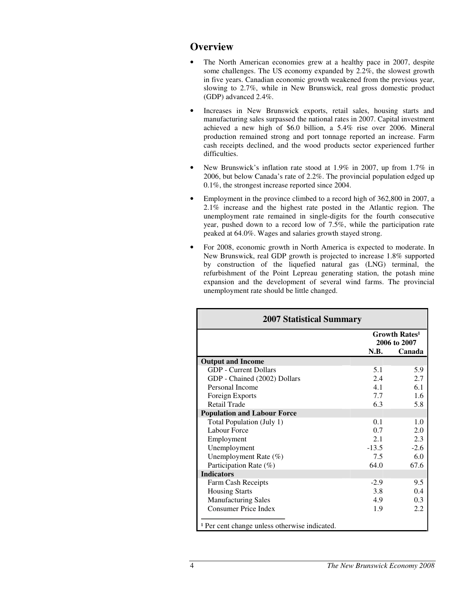# **Overview**

- The North American economies grew at a healthy pace in 2007, despite some challenges. The US economy expanded by 2.2%, the slowest growth in five years. Canadian economic growth weakened from the previous year, slowing to 2.7%, while in New Brunswick, real gross domestic product (GDP) advanced 2.4%.
- Increases in New Brunswick exports, retail sales, housing starts and manufacturing sales surpassed the national rates in 2007. Capital investment achieved a new high of \$6.0 billion, a 5.4% rise over 2006. Mineral production remained strong and port tonnage reported an increase. Farm cash receipts declined, and the wood products sector experienced further difficulties.
- New Brunswick's inflation rate stood at 1.9% in 2007, up from 1.7% in 2006, but below Canada's rate of 2.2%. The provincial population edged up 0.1%, the strongest increase reported since 2004.
- Employment in the province climbed to a record high of 362,800 in 2007, a 2.1% increase and the highest rate posted in the Atlantic region. The unemployment rate remained in single-digits for the fourth consecutive year, pushed down to a record low of 7.5%, while the participation rate peaked at 64.0%. Wages and salaries growth stayed strong.
- For 2008, economic growth in North America is expected to moderate. In New Brunswick, real GDP growth is projected to increase 1.8% supported by construction of the liquefied natural gas (LNG) terminal, the refurbishment of the Point Lepreau generating station, the potash mine expansion and the development of several wind farms. The provincial unemployment rate should be little changed.

| <b>2007 Statistical Summary</b>                          |         |                                                 |  |  |  |
|----------------------------------------------------------|---------|-------------------------------------------------|--|--|--|
|                                                          |         | <b>Growth Rates<sup>1</sup></b><br>2006 to 2007 |  |  |  |
|                                                          | N.B.    | Canada                                          |  |  |  |
| <b>Output and Income</b>                                 |         |                                                 |  |  |  |
| <b>GDP</b> - Current Dollars                             | 5.1     | 5.9                                             |  |  |  |
| GDP - Chained (2002) Dollars                             | 2.4     | 2.7                                             |  |  |  |
| Personal Income                                          | 41      | 6.1                                             |  |  |  |
| Foreign Exports                                          | 7.7     | 1.6                                             |  |  |  |
| <b>Retail Trade</b>                                      | 6.3     | 5.8                                             |  |  |  |
| <b>Population and Labour Force</b>                       |         |                                                 |  |  |  |
| Total Population (July 1)                                | 0.1     | 1.0                                             |  |  |  |
| Labour Force                                             | 0.7     | 2.0                                             |  |  |  |
| Employment                                               | 2.1     | 2.3                                             |  |  |  |
| Unemployment                                             | $-13.5$ | $-2.6$                                          |  |  |  |
| Unemployment Rate (%)                                    | 7.5     | 6.0                                             |  |  |  |
| Participation Rate (%)                                   | 64.0    | 67.6                                            |  |  |  |
| <b>Indicators</b>                                        |         |                                                 |  |  |  |
| Farm Cash Receipts                                       | $-2.9$  | 9.5                                             |  |  |  |
| <b>Housing Starts</b>                                    | 3.8     | 0.4                                             |  |  |  |
| <b>Manufacturing Sales</b>                               | 4.9     | 0.3                                             |  |  |  |
| <b>Consumer Price Index</b>                              | 1.9     | 2.2.                                            |  |  |  |
|                                                          |         |                                                 |  |  |  |
| <sup>1</sup> Per cent change unless otherwise indicated. |         |                                                 |  |  |  |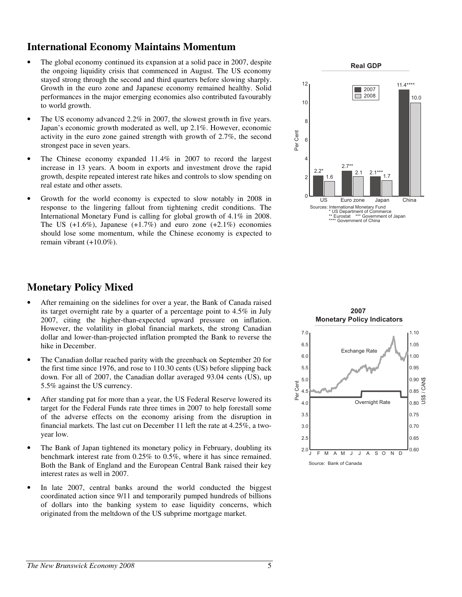# **International Economy Maintains Momentum**

- The global economy continued its expansion at a solid pace in 2007, despite the ongoing liquidity crisis that commenced in August. The US economy stayed strong through the second and third quarters before slowing sharply. Growth in the euro zone and Japanese economy remained healthy. Solid performances in the major emerging economies also contributed favourably to world growth.
- The US economy advanced 2.2% in 2007, the slowest growth in five years. Japan's economic growth moderated as well, up 2.1%. However, economic activity in the euro zone gained strength with growth of 2.7%, the second strongest pace in seven years.
- The Chinese economy expanded 11.4% in 2007 to record the largest increase in 13 years. A boom in exports and investment drove the rapid growth, despite repeated interest rate hikes and controls to slow spending on real estate and other assets.
- Growth for the world economy is expected to slow notably in 2008 in response to the lingering fallout from tightening credit conditions. The International Monetary Fund is calling for global growth of 4.1% in 2008. The US  $(+1.6\%)$ , Japanese  $(+1.7\%)$  and euro zone  $(+2.1\%)$  economies should lose some momentum, while the Chinese economy is expected to remain vibrant (+10.0%).



# **Monetary Policy Mixed**

- After remaining on the sidelines for over a year, the Bank of Canada raised its target overnight rate by a quarter of a percentage point to 4.5% in July 2007, citing the higher-than-expected upward pressure on inflation. However, the volatility in global financial markets, the strong Canadian dollar and lower-than-projected inflation prompted the Bank to reverse the hike in December.
- The Canadian dollar reached parity with the greenback on September 20 for the first time since 1976, and rose to 110.30 cents (US) before slipping back down. For all of 2007, the Canadian dollar averaged 93.04 cents (US), up 5.5% against the US currency.
- After standing pat for more than a year, the US Federal Reserve lowered its target for the Federal Funds rate three times in 2007 to help forestall some of the adverse effects on the economy arising from the disruption in financial markets. The last cut on December 11 left the rate at 4.25%, a twoyear low.
- The Bank of Japan tightened its monetary policy in February, doubling its benchmark interest rate from 0.25% to 0.5%, where it has since remained. Both the Bank of England and the European Central Bank raised their key interest rates as well in 2007.
- In late 2007, central banks around the world conducted the biggest coordinated action since 9/11 and temporarily pumped hundreds of billions of dollars into the banking system to ease liquidity concerns, which originated from the meltdown of the US subprime mortgage market.

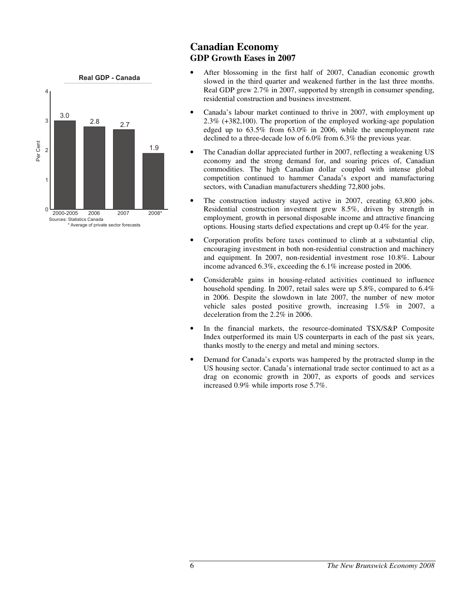

# **Canadian Economy GDP Growth Eases in 2007**

- After blossoming in the first half of 2007, Canadian economic growth slowed in the third quarter and weakened further in the last three months. Real GDP grew 2.7% in 2007, supported by strength in consumer spending, residential construction and business investment.
- Canada's labour market continued to thrive in 2007, with employment up 2.3% (+382,100). The proportion of the employed working-age population edged up to 63.5% from 63.0% in 2006, while the unemployment rate declined to a three-decade low of 6.0% from 6.3% the previous year.
- The Canadian dollar appreciated further in 2007, reflecting a weakening US economy and the strong demand for, and soaring prices of, Canadian commodities. The high Canadian dollar coupled with intense global competition continued to hammer Canada's export and manufacturing sectors, with Canadian manufacturers shedding 72,800 jobs.
- The construction industry stayed active in 2007, creating 63,800 jobs. Residential construction investment grew 8.5%, driven by strength in employment, growth in personal disposable income and attractive financing options. Housing starts defied expectations and crept up 0.4% for the year.
- Corporation profits before taxes continued to climb at a substantial clip, encouraging investment in both non-residential construction and machinery and equipment. In 2007, non-residential investment rose 10.8%. Labour income advanced 6.3%, exceeding the 6.1% increase posted in 2006.
- Considerable gains in housing-related activities continued to influence household spending. In 2007, retail sales were up 5.8%, compared to 6.4% in 2006. Despite the slowdown in late 2007, the number of new motor vehicle sales posted positive growth, increasing 1.5% in 2007, a deceleration from the 2.2% in 2006.
- In the financial markets, the resource-dominated TSX/S&P Composite Index outperformed its main US counterparts in each of the past six years, thanks mostly to the energy and metal and mining sectors.
- Demand for Canada's exports was hampered by the protracted slump in the US housing sector. Canada's international trade sector continued to act as a drag on economic growth in 2007, as exports of goods and services increased 0.9% while imports rose 5.7%.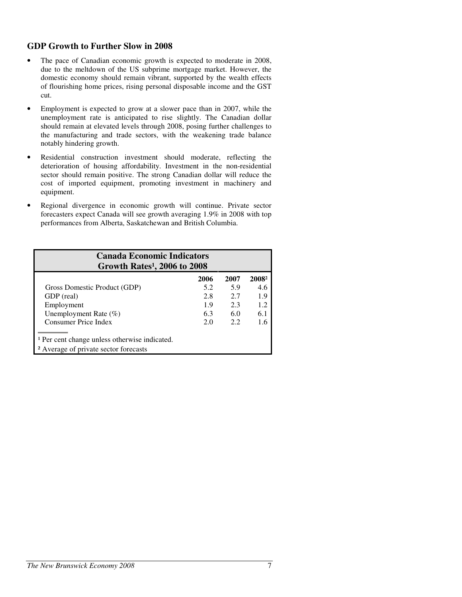## **GDP Growth to Further Slow in 2008**

- The pace of Canadian economic growth is expected to moderate in 2008, due to the meltdown of the US subprime mortgage market. However, the domestic economy should remain vibrant, supported by the wealth effects of flourishing home prices, rising personal disposable income and the GST cut.
- Employment is expected to grow at a slower pace than in 2007, while the unemployment rate is anticipated to rise slightly. The Canadian dollar should remain at elevated levels through 2008, posing further challenges to the manufacturing and trade sectors, with the weakening trade balance notably hindering growth.
- Residential construction investment should moderate, reflecting the deterioration of housing affordability. Investment in the non-residential sector should remain positive. The strong Canadian dollar will reduce the cost of imported equipment, promoting investment in machinery and equipment.
- Regional divergence in economic growth will continue. Private sector forecasters expect Canada will see growth averaging 1.9% in 2008 with top performances from Alberta, Saskatchewan and British Columbia.

| <b>Canada Economic Indicators</b><br>Growth Rates <sup>1</sup> , 2006 to 2008 |      |      |                   |  |  |  |  |  |
|-------------------------------------------------------------------------------|------|------|-------------------|--|--|--|--|--|
|                                                                               | 2006 | 2007 | 2008 <sup>2</sup> |  |  |  |  |  |
| Gross Domestic Product (GDP)                                                  | 5.2  | 5.9  | 4.6               |  |  |  |  |  |
| GDP (real)                                                                    | 2.8  | 2.7  | 1.9               |  |  |  |  |  |
| Employment                                                                    | 1.9  | 2.3  | 1.2               |  |  |  |  |  |
| Unemployment Rate $(\%)$                                                      | 6.3  | 6.0  | 6.1               |  |  |  |  |  |
| Consumer Price Index                                                          | 2.0  | 2.2  | 1.6               |  |  |  |  |  |
|                                                                               |      |      |                   |  |  |  |  |  |
| <sup>1</sup> Per cent change unless otherwise indicated.                      |      |      |                   |  |  |  |  |  |
| <sup>2</sup> Average of private sector forecasts                              |      |      |                   |  |  |  |  |  |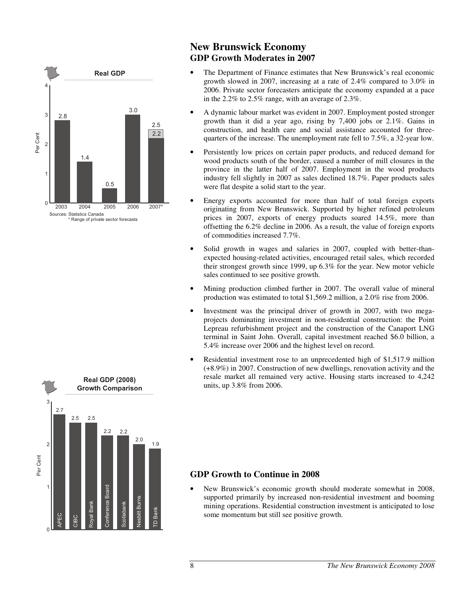

# **New Brunswick Economy GDP Growth Moderates in 2007**

- The Department of Finance estimates that New Brunswick's real economic growth slowed in 2007, increasing at a rate of 2.4% compared to 3.0% in 2006. Private sector forecasters anticipate the economy expanded at a pace in the 2.2% to 2.5% range, with an average of 2.3%.
- A dynamic labour market was evident in 2007. Employment posted stronger growth than it did a year ago, rising by 7,400 jobs or 2.1%. Gains in construction, and health care and social assistance accounted for threequarters of the increase. The unemployment rate fell to 7.5%, a 32-year low.
- Persistently low prices on certain paper products, and reduced demand for wood products south of the border, caused a number of mill closures in the province in the latter half of 2007. Employment in the wood products industry fell slightly in 2007 as sales declined 18.7%. Paper products sales were flat despite a solid start to the year.
- Energy exports accounted for more than half of total foreign exports originating from New Brunswick. Supported by higher refined petroleum prices in 2007, exports of energy products soared 14.5%, more than offsetting the 6.2% decline in 2006. As a result, the value of foreign exports of commodities increased 7.7%.
- Solid growth in wages and salaries in 2007, coupled with better-thanexpected housing-related activities, encouraged retail sales, which recorded their strongest growth since 1999, up 6.3% for the year. New motor vehicle sales continued to see positive growth.
- Mining production climbed further in 2007. The overall value of mineral production was estimated to total \$1,569.2 million, a 2.0% rise from 2006.
- Investment was the principal driver of growth in 2007, with two megaprojects dominating investment in non-residential construction: the Point Lepreau refurbishment project and the construction of the Canaport LNG terminal in Saint John. Overall, capital investment reached \$6.0 billion, a 5.4% increase over 2006 and the highest level on record.
- Residential investment rose to an unprecedented high of \$1,517.9 million (+8.9%) in 2007. Construction of new dwellings, renovation activity and the resale market all remained very active. Housing starts increased to 4,242 units, up 3.8% from 2006.

# **GDP Growth to Continue in 2008**

• New Brunswick's economic growth should moderate somewhat in 2008, supported primarily by increased non-residential investment and booming mining operations. Residential construction investment is anticipated to lose some momentum but still see positive growth.

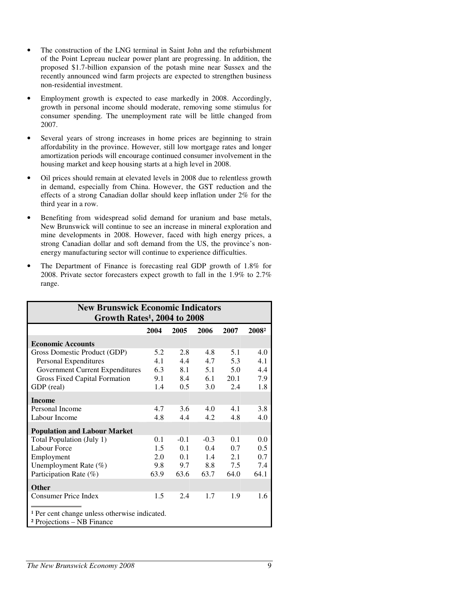- The construction of the LNG terminal in Saint John and the refurbishment of the Point Lepreau nuclear power plant are progressing. In addition, the proposed \$1.7-billion expansion of the potash mine near Sussex and the recently announced wind farm projects are expected to strengthen business non-residential investment.
- Employment growth is expected to ease markedly in 2008. Accordingly, growth in personal income should moderate, removing some stimulus for consumer spending. The unemployment rate will be little changed from 2007.
- Several years of strong increases in home prices are beginning to strain affordability in the province. However, still low mortgage rates and longer amortization periods will encourage continued consumer involvement in the housing market and keep housing starts at a high level in 2008.
- Oil prices should remain at elevated levels in 2008 due to relentless growth in demand, especially from China. However, the GST reduction and the effects of a strong Canadian dollar should keep inflation under 2% for the third year in a row.
- Benefiting from widespread solid demand for uranium and base metals, New Brunswick will continue to see an increase in mineral exploration and mine developments in 2008. However, faced with high energy prices, a strong Canadian dollar and soft demand from the US, the province's nonenergy manufacturing sector will continue to experience difficulties.
- The Department of Finance is forecasting real GDP growth of 1.8% for 2008. Private sector forecasters expect growth to fall in the 1.9% to 2.7% range.

| <b>New Brunswick Economic Indicators</b>                 |      |        |        |      |                   |  |  |
|----------------------------------------------------------|------|--------|--------|------|-------------------|--|--|
| Growth Rates <sup>1</sup> , 2004 to 2008                 |      |        |        |      |                   |  |  |
|                                                          | 2004 | 2005   | 2006   | 2007 | 2008 <sup>2</sup> |  |  |
| <b>Economic Accounts</b>                                 |      |        |        |      |                   |  |  |
| Gross Domestic Product (GDP)                             | 5.2  | 2.8    | 4.8    | 5.1  | 4.0               |  |  |
| Personal Expenditures                                    | 4.1  | 4.4    | 4.7    | 5.3  | 4.1               |  |  |
| Government Current Expenditures                          | 6.3  | 8.1    | 5.1    | 5.0  | 4.4               |  |  |
| Gross Fixed Capital Formation                            | 9.1  | 8.4    | 6.1    | 20.1 | 7.9               |  |  |
| GDP (real)                                               | 1.4  | 0.5    | 3.0    | 2.4  | 1.8               |  |  |
| <b>Income</b>                                            |      |        |        |      |                   |  |  |
| Personal Income                                          | 4.7  | 3.6    | 4.0    | 4.1  | 3.8               |  |  |
| Labour Income                                            | 4.8  | 4.4    | 4.2.   | 4.8  | 4.0               |  |  |
| <b>Population and Labour Market</b>                      |      |        |        |      |                   |  |  |
| Total Population (July 1)                                | 0.1  | $-0.1$ | $-0.3$ | 0.1  | 0.0               |  |  |
| Labour Force                                             | 1.5  | 0.1    | 0.4    | 0.7  | 0.5               |  |  |
| Employment                                               | 2.0  | 0.1    | 1.4    | 2.1  | 0.7               |  |  |
| Unemployment Rate (%)                                    | 9.8  | 9.7    | 8.8    | 7.5  | 7.4               |  |  |
| Participation Rate (%)                                   | 63.9 | 63.6   | 63.7   | 64.0 | 64.1              |  |  |
| <b>Other</b>                                             |      |        |        |      |                   |  |  |
| <b>Consumer Price Index</b>                              | 1.5  | 2.4    | 1.7    | 1.9  | 1.6               |  |  |
|                                                          |      |        |        |      |                   |  |  |
| <sup>1</sup> Per cent change unless otherwise indicated. |      |        |        |      |                   |  |  |
| <sup>2</sup> Projections – NB Finance                    |      |        |        |      |                   |  |  |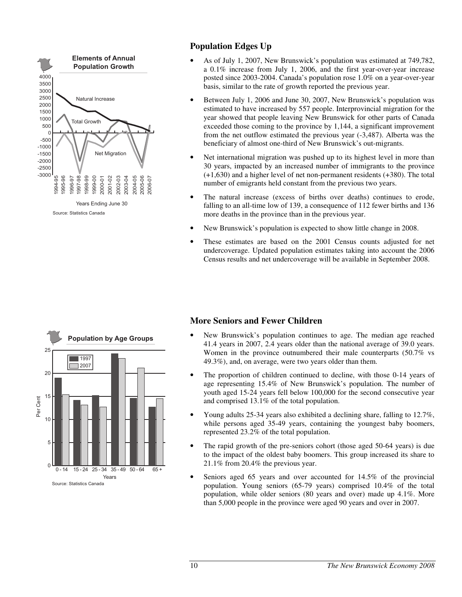

# **Population Edges Up**

- As of July 1, 2007, New Brunswick's population was estimated at 749,782, a 0.1% increase from July 1, 2006, and the first year-over-year increase posted since 2003-2004. Canada's population rose 1.0% on a year-over-year basis, similar to the rate of growth reported the previous year.
- Between July 1, 2006 and June 30, 2007, New Brunswick's population was estimated to have increased by 557 people. Interprovincial migration for the year showed that people leaving New Brunswick for other parts of Canada exceeded those coming to the province by 1,144, a significant improvement from the net outflow estimated the previous year (-3,487). Alberta was the beneficiary of almost one-third of New Brunswick's out-migrants.
- Net international migration was pushed up to its highest level in more than 30 years, impacted by an increased number of immigrants to the province (+1,630) and a higher level of net non-permanent residents (+380). The total number of emigrants held constant from the previous two years.
- The natural increase (excess of births over deaths) continues to erode, falling to an all-time low of 139, a consequence of 112 fewer births and 136 more deaths in the province than in the previous year.
- New Brunswick's population is expected to show little change in 2008.
- These estimates are based on the 2001 Census counts adjusted for net undercoverage. Updated population estimates taking into account the 2006 Census results and net undercoverage will be available in September 2008.



# **More Seniors and Fewer Children**

- New Brunswick's population continues to age. The median age reached 41.4 years in 2007, 2.4 years older than the national average of 39.0 years. Women in the province outnumbered their male counterparts (50.7% vs 49.3%), and, on average, were two years older than them.
- The proportion of children continued to decline, with those 0-14 years of age representing 15.4% of New Brunswick's population. The number of youth aged 15-24 years fell below 100,000 for the second consecutive year and comprised 13.1% of the total population.
- Young adults 25-34 years also exhibited a declining share, falling to 12.7%, while persons aged 35-49 years, containing the youngest baby boomers, represented 23.2% of the total population.
- The rapid growth of the pre-seniors cohort (those aged 50-64 years) is due to the impact of the oldest baby boomers. This group increased its share to 21.1% from 20.4% the previous year.
- Seniors aged 65 years and over accounted for 14.5% of the provincial population. Young seniors (65-79 years) comprised 10.4% of the total population, while older seniors (80 years and over) made up 4.1%. More than 5,000 people in the province were aged 90 years and over in 2007.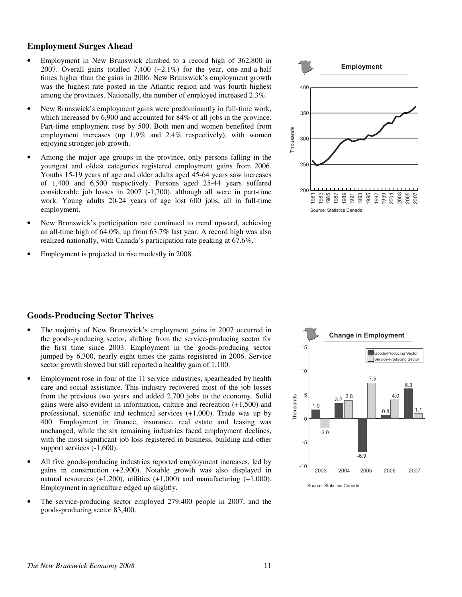#### **Employment Surges Ahead**

- Employment in New Brunswick climbed to a record high of 362,800 in 2007. Overall gains totalled 7,400 (+2.1%) for the year, one-and-a-half times higher than the gains in 2006. New Brunswick's employment growth was the highest rate posted in the Atlantic region and was fourth highest among the provinces. Nationally, the number of employed increased 2.3%.
- New Brunswick's employment gains were predominantly in full-time work, which increased by 6,900 and accounted for 84% of all jobs in the province. Part-time employment rose by 500. Both men and women benefited from employment increases (up 1.9% and 2.4% respectively), with women enjoying stronger job growth.
- Among the major age groups in the province, only persons falling in the youngest and oldest categories registered employment gains from 2006. Youths 15-19 years of age and older adults aged 45-64 years saw increases of 1,400 and 6,500 respectively. Persons aged 25-44 years suffered considerable job losses in 2007 (-1,700), although all were in part-time work. Young adults 20-24 years of age lost 600 jobs, all in full-time employment.
- New Brunswick's participation rate continued to trend upward, achieving an all-time high of 64.0%, up from 63.7% last year. A record high was also realized nationally, with Canada's participation rate peaking at 67.6%.
- Employment is projected to rise modestly in 2008.



#### **Goods-Producing Sector Thrives**

- The majority of New Brunswick's employment gains in 2007 occurred in the goods-producing sector, shifting from the service-producing sector for the first time since 2003. Employment in the goods-producing sector jumped by 6,300, nearly eight times the gains registered in 2006. Service sector growth slowed but still reported a healthy gain of 1,100.
- Employment rose in four of the 11 service industries, spearheaded by health care and social assistance. This industry recovered most of the job losses from the previous two years and added 2,700 jobs to the economy. Solid gains were also evident in information, culture and recreation (+1,500) and professional, scientific and technical services (+1,000). Trade was up by 400. Employment in finance, insurance, real estate and leasing was unchanged, while the six remaining industries faced employment declines, with the most significant job loss registered in business, building and other support services (-1,600).
- All five goods-producing industries reported employment increases, led by gains in construction (+2,900). Notable growth was also displayed in natural resources  $(+1,200)$ , utilities  $(+1,000)$  and manufacturing  $(+1,000)$ . Employment in agriculture edged up slightly.
- The service-producing sector employed 279,400 people in 2007, and the goods-producing sector 83,400.



Source: Statistics Canada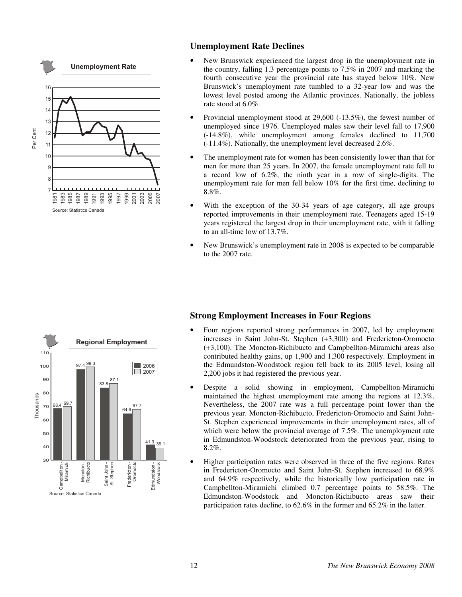

## **Unemployment Rate Declines**

- New Brunswick experienced the largest drop in the unemployment rate in the country, falling 1.3 percentage points to 7.5% in 2007 and marking the fourth consecutive year the provincial rate has stayed below 10%. New Brunswick's unemployment rate tumbled to a 32-year low and was the lowest level posted among the Atlantic provinces. Nationally, the jobless rate stood at 6.0%.
- Provincial unemployment stood at 29,600 (-13.5%), the fewest number of unemployed since 1976. Unemployed males saw their level fall to 17,900 (-14.8%), while unemployment among females declined to 11,700 (-11.4%). Nationally, the unemployment level decreased 2.6%.
- The unemployment rate for women has been consistently lower than that for men for more than 25 years. In 2007, the female unemployment rate fell to a record low of 6.2%, the ninth year in a row of single-digits. The unemployment rate for men fell below 10% for the first time, declining to 8.8%.
- With the exception of the 30-34 years of age category, all age groups reported improvements in their unemployment rate. Teenagers aged 15-19 years registered the largest drop in their unemployment rate, with it falling to an all-time low of 13.7%.
- New Brunswick's unemployment rate in 2008 is expected to be comparable to the 2007 rate.



# **Strong Employment Increases in Four Regions**

- Four regions reported strong performances in 2007, led by employment increases in Saint John-St. Stephen (+3,300) and Fredericton-Oromocto (+3,100). The Moncton-Richibucto and Campbellton-Miramichi areas also contributed healthy gains, up 1,900 and 1,300 respectively. Employment in the Edmundston-Woodstock region fell back to its 2005 level, losing all 2,200 jobs it had registered the previous year.
- Despite a solid showing in employment, Campbellton-Miramichi maintained the highest unemployment rate among the regions at 12.3%. Nevertheless, the 2007 rate was a full percentage point lower than the previous year. Moncton-Richibucto, Fredericton-Oromocto and Saint John-St. Stephen experienced improvements in their unemployment rates, all of which were below the provincial average of 7.5%. The unemployment rate in Edmundston-Woodstock deteriorated from the previous year, rising to 8.2%.
- Higher participation rates were observed in three of the five regions. Rates in Fredericton-Oromocto and Saint John-St. Stephen increased to 68.9% and 64.9% respectively, while the historically low participation rate in Campbellton-Miramichi climbed 0.7 percentage points to 58.5%. The Edmundston-Woodstock and Moncton-Richibucto areas saw their participation rates decline, to 62.6% in the former and 65.2% in the latter.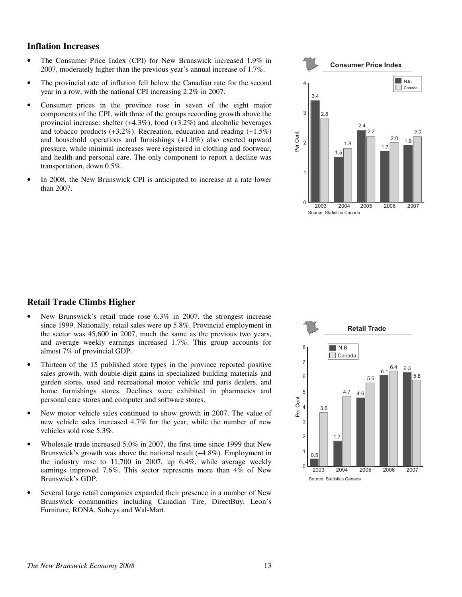#### **Inflation Increases**

- The Consumer Price Index (CPI) for New Brunswick increased 1.9% in 2007, moderately higher than the previous year's annual increase of 1.7%.
- The provincial rate of inflation fell below the Canadian rate for the second year in a row, with the national CPI increasing 2.2% in 2007.
- Consumer prices in the province rose in seven of the eight major components of the CPI, with three of the groups recording growth above the provincial increase: shelter (+4.3%), food (+3.2%) and alcoholic beverages and tobacco products  $(+3.2\%)$ . Recreation, education and reading  $(+1.5\%)$ and household operations and furnishings (+1.0%) also exerted upward pressure, while minimal increases were registered in clothing and footwear, and health and personal care. The only component to report a decline was transportation, down 0.5%.
- In 2008, the New Brunswick CPI is anticipated to increase at a rate lower than 2007.



## **Retail Trade Climbs Higher**

- New Brunswick's retail trade rose 6.3% in 2007, the strongest increase since 1999. Nationally, retail sales were up 5.8%. Provincial employment in the sector was 45,600 in 2007, much the same as the previous two years, and average weekly earnings increased 1.7%. This group accounts for almost 7% of provincial GDP.
- Thirteen of the 15 published store types in the province reported positive sales growth, with double-digit gains in specialized building materials and garden stores, used and recreational motor vehicle and parts dealers, and home furnishings stores. Declines were exhibited in pharmacies and personal care stores and computer and software stores.
- New motor vehicle sales continued to show growth in 2007. The value of new vehicle sales increased 4.7% for the year, while the number of new vehicles sold rose 5.3%.
- Wholesale trade increased 5.0% in 2007, the first time since 1999 that New Brunswick's growth was above the national result (+4.8%). Employment in the industry rose to 11,700 in 2007, up 6.4%, while average weekly earnings improved 7.6%. This sector represents more than 4% of New Brunswick's GDP.
- Several large retail companies expanded their presence in a number of New Brunswick communities including Canadian Tire, DirectBuy, Leon's Furniture, RONA, Sobeys and Wal-Mart.

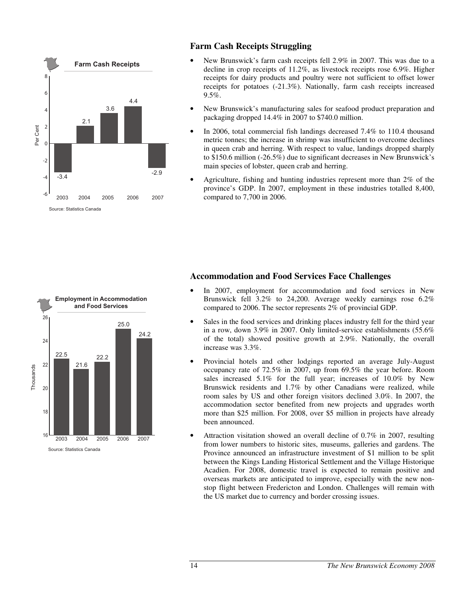

# **Farm Cash Receipts Struggling**

- New Brunswick's farm cash receipts fell 2.9% in 2007. This was due to a decline in crop receipts of 11.2%, as livestock receipts rose 6.9%. Higher receipts for dairy products and poultry were not sufficient to offset lower receipts for potatoes (-21.3%). Nationally, farm cash receipts increased 9.5%.
- New Brunswick's manufacturing sales for seafood product preparation and packaging dropped 14.4% in 2007 to \$740.0 million.
- In 2006, total commercial fish landings decreased 7.4% to 110.4 thousand metric tonnes; the increase in shrimp was insufficient to overcome declines in queen crab and herring. With respect to value, landings dropped sharply to \$150.6 million (-26.5%) due to significant decreases in New Brunswick's main species of lobster, queen crab and herring.
- Agriculture, fishing and hunting industries represent more than 2% of the province's GDP. In 2007, employment in these industries totalled 8,400, compared to 7,700 in 2006.



## **Accommodation and Food Services Face Challenges**

- In 2007, employment for accommodation and food services in New Brunswick fell 3.2% to 24,200. Average weekly earnings rose 6.2% compared to 2006. The sector represents 2% of provincial GDP.
- Sales in the food services and drinking places industry fell for the third year in a row, down 3.9% in 2007. Only limited-service establishments (55.6% of the total) showed positive growth at 2.9%. Nationally, the overall increase was 3.3%.
- Provincial hotels and other lodgings reported an average July-August occupancy rate of 72.5% in 2007, up from 69.5% the year before. Room sales increased 5.1% for the full year; increases of 10.0% by New Brunswick residents and 1.7% by other Canadians were realized, while room sales by US and other foreign visitors declined 3.0%. In 2007, the accommodation sector benefited from new projects and upgrades worth more than \$25 million. For 2008, over \$5 million in projects have already been announced.
- Attraction visitation showed an overall decline of 0.7% in 2007, resulting from lower numbers to historic sites, museums, galleries and gardens. The Province announced an infrastructure investment of \$1 million to be split between the Kings Landing Historical Settlement and the Village Historique Acadien. For 2008, domestic travel is expected to remain positive and overseas markets are anticipated to improve, especially with the new nonstop flight between Fredericton and London. Challenges will remain with the US market due to currency and border crossing issues.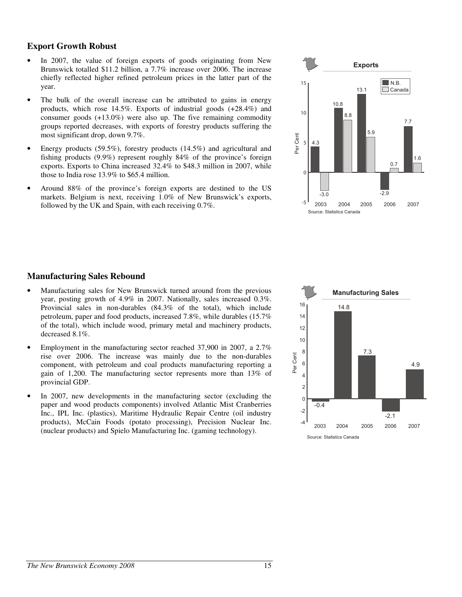### **Export Growth Robust**

- In 2007, the value of foreign exports of goods originating from New Brunswick totalled \$11.2 billion, a 7.7% increase over 2006. The increase chiefly reflected higher refined petroleum prices in the latter part of the year.
- The bulk of the overall increase can be attributed to gains in energy products, which rose 14.5%. Exports of industrial goods (+28.4%) and consumer goods (+13.0%) were also up. The five remaining commodity groups reported decreases, with exports of forestry products suffering the most significant drop, down 9.7%.
- Energy products (59.5%), forestry products (14.5%) and agricultural and fishing products (9.9%) represent roughly 84% of the province's foreign exports. Exports to China increased 32.4% to \$48.3 million in 2007, while those to India rose 13.9% to \$65.4 million.
- Around 88% of the province's foreign exports are destined to the US markets. Belgium is next, receiving 1.0% of New Brunswick's exports, followed by the UK and Spain, with each receiving 0.7%.



## **Manufacturing Sales Rebound**

- Manufacturing sales for New Brunswick turned around from the previous year, posting growth of 4.9% in 2007. Nationally, sales increased 0.3%. Provincial sales in non-durables (84.3% of the total), which include petroleum, paper and food products, increased 7.8%, while durables (15.7% of the total), which include wood, primary metal and machinery products, decreased 8.1%.
- Employment in the manufacturing sector reached 37,900 in 2007, a 2.7% rise over 2006. The increase was mainly due to the non-durables component, with petroleum and coal products manufacturing reporting a gain of 1,200. The manufacturing sector represents more than 13% of provincial GDP.
- In 2007, new developments in the manufacturing sector (excluding the paper and wood products components) involved Atlantic Mist Cranberries Inc., IPL Inc. (plastics), Maritime Hydraulic Repair Centre (oil industry products), McCain Foods (potato processing), Precision Nuclear Inc. (nuclear products) and Spielo Manufacturing Inc. (gaming technology).

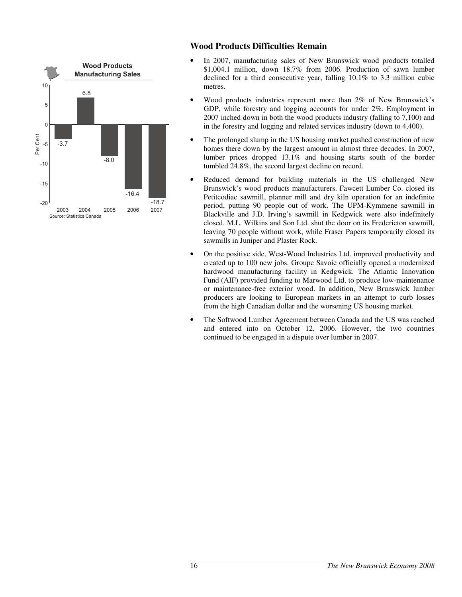

# **Wood Products Difficulties Remain**

- In 2007, manufacturing sales of New Brunswick wood products totalled \$1,004.1 million, down 18.7% from 2006. Production of sawn lumber declined for a third consecutive year, falling 10.1% to 3.3 million cubic metres.
- Wood products industries represent more than 2% of New Brunswick's GDP, while forestry and logging accounts for under 2%. Employment in 2007 inched down in both the wood products industry (falling to 7,100) and in the forestry and logging and related services industry (down to 4,400).
- The prolonged slump in the US housing market pushed construction of new homes there down by the largest amount in almost three decades. In 2007, lumber prices dropped 13.1% and housing starts south of the border tumbled 24.8%, the second largest decline on record.
- Reduced demand for building materials in the US challenged New Brunswick's wood products manufacturers. Fawcett Lumber Co. closed its Petitcodiac sawmill, planner mill and dry kiln operation for an indefinite period, putting 90 people out of work. The UPM-Kymmene sawmill in Blackville and J.D. Irving's sawmill in Kedgwick were also indefinitely closed. M.L. Wilkins and Son Ltd. shut the door on its Fredericton sawmill, leaving 70 people without work, while Fraser Papers temporarily closed its sawmills in Juniper and Plaster Rock.
- On the positive side, West-Wood Industries Ltd. improved productivity and created up to 100 new jobs. Groupe Savoie officially opened a modernized hardwood manufacturing facility in Kedgwick. The Atlantic Innovation Fund (AIF) provided funding to Marwood Ltd. to produce low-maintenance or maintenance-free exterior wood. In addition, New Brunswick lumber producers are looking to European markets in an attempt to curb losses from the high Canadian dollar and the worsening US housing market.
- The Softwood Lumber Agreement between Canada and the US was reached and entered into on October 12, 2006. However, the two countries continued to be engaged in a dispute over lumber in 2007.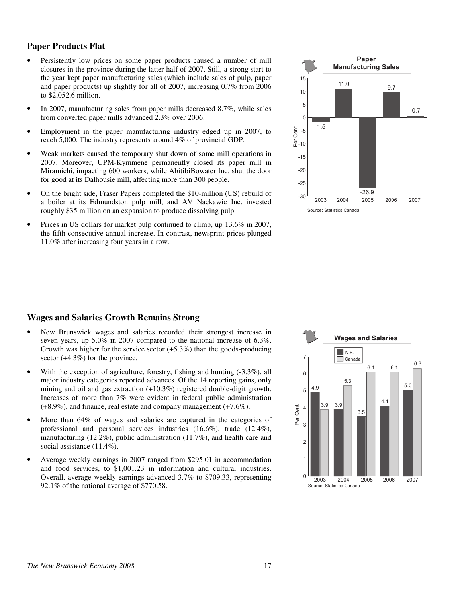## **Paper Products Flat**

- Persistently low prices on some paper products caused a number of mill closures in the province during the latter half of 2007. Still, a strong start to the year kept paper manufacturing sales (which include sales of pulp, paper and paper products) up slightly for all of 2007, increasing 0.7% from 2006 to \$2,052.6 million.
- In 2007, manufacturing sales from paper mills decreased 8.7%, while sales from converted paper mills advanced 2.3% over 2006.
- Employment in the paper manufacturing industry edged up in 2007, to reach 5,000. The industry represents around 4% of provincial GDP.
- Weak markets caused the temporary shut down of some mill operations in 2007. Moreover, UPM-Kymmene permanently closed its paper mill in Miramichi, impacting 600 workers, while AbitibiBowater Inc. shut the door for good at its Dalhousie mill, affecting more than 300 people.
- On the bright side, Fraser Papers completed the \$10-million (US) rebuild of a boiler at its Edmundston pulp mill, and AV Nackawic Inc. invested roughly \$35 million on an expansion to produce dissolving pulp.
- Prices in US dollars for market pulp continued to climb, up 13.6% in 2007, the fifth consecutive annual increase. In contrast, newsprint prices plunged 11.0% after increasing four years in a row.



#### **Wages and Salaries Growth Remains Strong**

- New Brunswick wages and salaries recorded their strongest increase in seven years, up 5.0% in 2007 compared to the national increase of 6.3%. Growth was higher for the service sector  $(+5.3\%)$  than the goods-producing sector (+4.3%) for the province.
- With the exception of agriculture, forestry, fishing and hunting  $(-3.3\%)$ , all major industry categories reported advances. Of the 14 reporting gains, only mining and oil and gas extraction (+10.3%) registered double-digit growth. Increases of more than 7% were evident in federal public administration (+8.9%), and finance, real estate and company management (+7.6%).
- More than 64% of wages and salaries are captured in the categories of professional and personal services industries (16.6%), trade (12.4%), manufacturing (12.2%), public administration (11.7%), and health care and social assistance  $(11.4\%)$ .
- Average weekly earnings in 2007 ranged from \$295.01 in accommodation and food services, to \$1,001.23 in information and cultural industries. Overall, average weekly earnings advanced 3.7% to \$709.33, representing 92.1% of the national average of \$770.58.

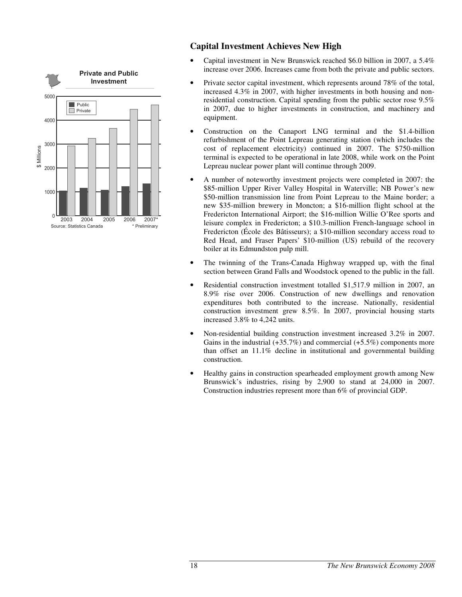

# **Capital Investment Achieves New High**

- Capital investment in New Brunswick reached \$6.0 billion in 2007, a 5.4% increase over 2006. Increases came from both the private and public sectors.
- Private sector capital investment, which represents around 78% of the total, increased 4.3% in 2007, with higher investments in both housing and nonresidential construction. Capital spending from the public sector rose 9.5% in 2007, due to higher investments in construction, and machinery and equipment.
- Construction on the Canaport LNG terminal and the \$1.4-billion refurbishment of the Point Lepreau generating station (which includes the cost of replacement electricity) continued in 2007. The \$750-million terminal is expected to be operational in late 2008, while work on the Point Lepreau nuclear power plant will continue through 2009.
- A number of noteworthy investment projects were completed in 2007: the \$85-million Upper River Valley Hospital in Waterville; NB Power's new \$50-million transmission line from Point Lepreau to the Maine border; a new \$35-million brewery in Moncton; a \$16-million flight school at the Fredericton International Airport; the \$16-million Willie O'Ree sports and leisure complex in Fredericton; a \$10.3-million French-language school in Fredericton (École des Bâtisseurs); a \$10-million secondary access road to Red Head, and Fraser Papers' \$10-million (US) rebuild of the recovery boiler at its Edmundston pulp mill.
- The twinning of the Trans-Canada Highway wrapped up, with the final section between Grand Falls and Woodstock opened to the public in the fall.
- Residential construction investment totalled \$1,517.9 million in 2007, an 8.9% rise over 2006. Construction of new dwellings and renovation expenditures both contributed to the increase. Nationally, residential construction investment grew 8.5%. In 2007, provincial housing starts increased 3.8% to 4,242 units.
- Non-residential building construction investment increased 3.2% in 2007. Gains in the industrial  $(+35.7\%)$  and commercial  $(+5.5\%)$  components more than offset an 11.1% decline in institutional and governmental building construction.
- Healthy gains in construction spearheaded employment growth among New Brunswick's industries, rising by 2,900 to stand at 24,000 in 2007. Construction industries represent more than 6% of provincial GDP.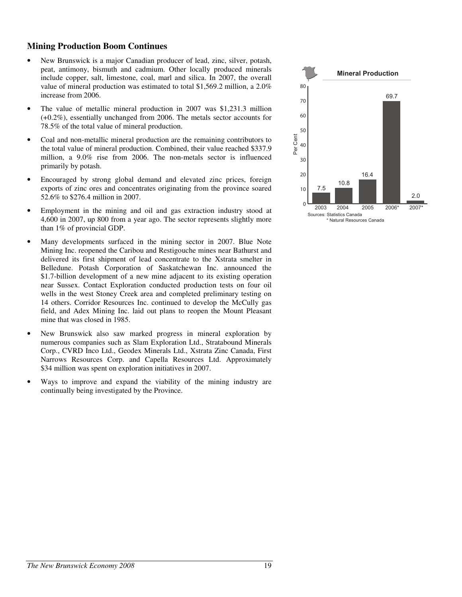### **Mining Production Boom Continues**

- New Brunswick is a major Canadian producer of lead, zinc, silver, potash, peat, antimony, bismuth and cadmium. Other locally produced minerals include copper, salt, limestone, coal, marl and silica. In 2007, the overall value of mineral production was estimated to total \$1,569.2 million, a 2.0% increase from 2006.
- The value of metallic mineral production in 2007 was \$1,231.3 million (+0.2%), essentially unchanged from 2006. The metals sector accounts for 78.5% of the total value of mineral production.
- Coal and non-metallic mineral production are the remaining contributors to the total value of mineral production. Combined, their value reached \$337.9 million, a 9.0% rise from 2006. The non-metals sector is influenced primarily by potash.
- Encouraged by strong global demand and elevated zinc prices, foreign exports of zinc ores and concentrates originating from the province soared 52.6% to \$276.4 million in 2007.
- Employment in the mining and oil and gas extraction industry stood at 4,600 in 2007, up 800 from a year ago. The sector represents slightly more than 1% of provincial GDP.
- Many developments surfaced in the mining sector in 2007. Blue Note Mining Inc. reopened the Caribou and Restigouche mines near Bathurst and delivered its first shipment of lead concentrate to the Xstrata smelter in Belledune. Potash Corporation of Saskatchewan Inc. announced the \$1.7-billion development of a new mine adjacent to its existing operation near Sussex. Contact Exploration conducted production tests on four oil wells in the west Stoney Creek area and completed preliminary testing on 14 others. Corridor Resources Inc. continued to develop the McCully gas field, and Adex Mining Inc. laid out plans to reopen the Mount Pleasant mine that was closed in 1985.
- New Brunswick also saw marked progress in mineral exploration by numerous companies such as Slam Exploration Ltd., Stratabound Minerals Corp., CVRD Inco Ltd., Geodex Minerals Ltd., Xstrata Zinc Canada, First Narrows Resources Corp. and Capella Resources Ltd. Approximately \$34 million was spent on exploration initiatives in 2007.
- Ways to improve and expand the viability of the mining industry are continually being investigated by the Province.

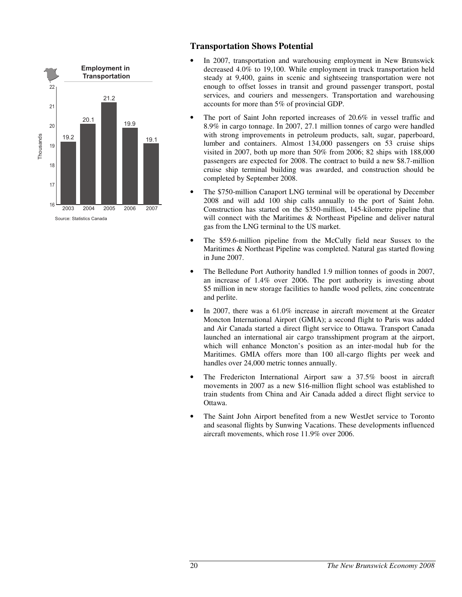

# **Transportation Shows Potential**

- In 2007, transportation and warehousing employment in New Brunswick decreased 4.0% to 19,100. While employment in truck transportation held steady at 9,400, gains in scenic and sightseeing transportation were not enough to offset losses in transit and ground passenger transport, postal services, and couriers and messengers. Transportation and warehousing accounts for more than 5% of provincial GDP.
- The port of Saint John reported increases of 20.6% in vessel traffic and 8.9% in cargo tonnage. In 2007, 27.1 million tonnes of cargo were handled with strong improvements in petroleum products, salt, sugar, paperboard, lumber and containers. Almost 134,000 passengers on 53 cruise ships visited in 2007, both up more than 50% from 2006; 82 ships with 188,000 passengers are expected for 2008. The contract to build a new \$8.7-million cruise ship terminal building was awarded, and construction should be completed by September 2008.
- The \$750-million Canaport LNG terminal will be operational by December 2008 and will add 100 ship calls annually to the port of Saint John. Construction has started on the \$350-million, 145-kilometre pipeline that will connect with the Maritimes & Northeast Pipeline and deliver natural gas from the LNG terminal to the US market.
- The \$59.6-million pipeline from the McCully field near Sussex to the Maritimes & Northeast Pipeline was completed. Natural gas started flowing in June 2007.
- The Belledune Port Authority handled 1.9 million tonnes of goods in 2007, an increase of 1.4% over 2006. The port authority is investing about \$5 million in new storage facilities to handle wood pellets, zinc concentrate and perlite.
- In 2007, there was a 61.0% increase in aircraft movement at the Greater Moncton International Airport (GMIA); a second flight to Paris was added and Air Canada started a direct flight service to Ottawa. Transport Canada launched an international air cargo transshipment program at the airport, which will enhance Moncton's position as an inter-modal hub for the Maritimes. GMIA offers more than 100 all-cargo flights per week and handles over 24,000 metric tonnes annually.
- The Fredericton International Airport saw a 37.5% boost in aircraft movements in 2007 as a new \$16-million flight school was established to train students from China and Air Canada added a direct flight service to Ottawa.
- The Saint John Airport benefited from a new WestJet service to Toronto and seasonal flights by Sunwing Vacations. These developments influenced aircraft movements, which rose 11.9% over 2006.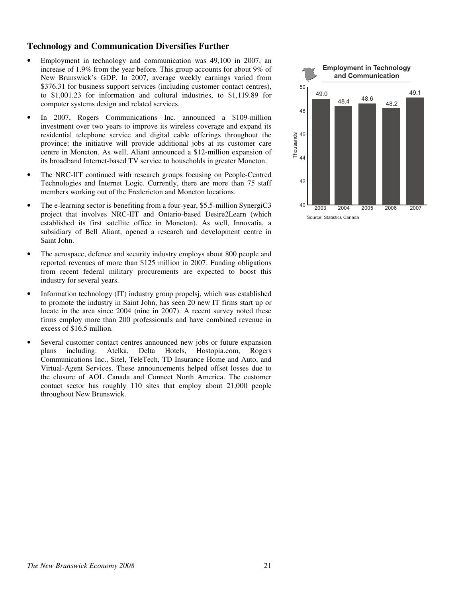#### **Technology and Communication Diversifies Further**

- Employment in technology and communication was 49,100 in 2007, an increase of 1.9% from the year before. This group accounts for about 9% of New Brunswick's GDP. In 2007, average weekly earnings varied from \$376.31 for business support services (including customer contact centres), to \$1,001.23 for information and cultural industries, to \$1,119.89 for computer systems design and related services.
- In 2007, Rogers Communications Inc. announced a \$109-million investment over two years to improve its wireless coverage and expand its residential telephone service and digital cable offerings throughout the province; the initiative will provide additional jobs at its customer care centre in Moncton. As well, Aliant announced a \$12-million expansion of its broadband Internet-based TV service to households in greater Moncton.
- The NRC-IIT continued with research groups focusing on People-Centred Technologies and Internet Logic. Currently, there are more than 75 staff members working out of the Fredericton and Moncton locations.
- The e-learning sector is benefiting from a four-year, \$5.5-million SynergiC3 project that involves NRC-IIT and Ontario-based Desire2Learn (which established its first satellite office in Moncton). As well, Innovatia, a subsidiary of Bell Aliant, opened a research and development centre in Saint John.
- The aerospace, defence and security industry employs about 800 people and reported revenues of more than \$125 million in 2007. Funding obligations from recent federal military procurements are expected to boost this industry for several years.
- Information technology (IT) industry group propelsj, which was established to promote the industry in Saint John, has seen 20 new IT firms start up or locate in the area since 2004 (nine in 2007). A recent survey noted these firms employ more than 200 professionals and have combined revenue in excess of \$16.5 million.
- Several customer contact centres announced new jobs or future expansion plans including: Atelka, Delta Hotels, Hostopia.com, Rogers Communications Inc., Sitel, TeleTech, TD Insurance Home and Auto, and Virtual-Agent Services. These announcements helped offset losses due to the closure of AOL Canada and Connect North America. The customer contact sector has roughly 110 sites that employ about 21,000 people throughout New Brunswick.



Source: Statistics Canada